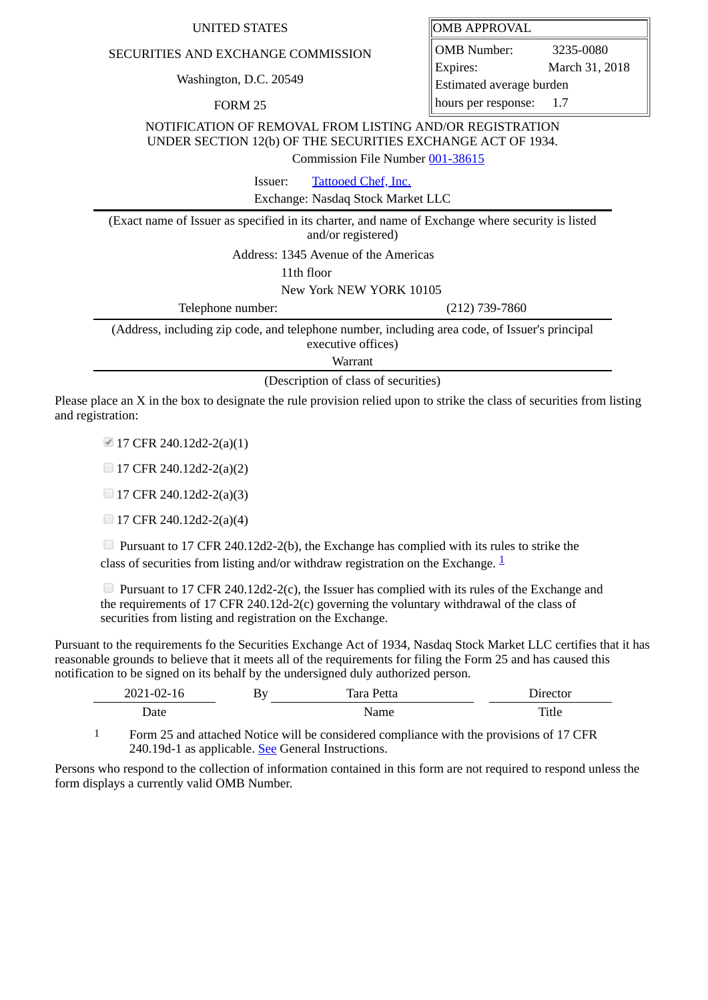## UNITED STATES **OMB** APPROVAL

## SECURITIES AND EXCHANGE COMMISSION

Washington, D.C. 20549

FORM 25

OMB Number: 3235-0080 Expires: March 31, 2018 Estimated average burden hours per response: 1.7

NOTIFICATION OF REMOVAL FROM LISTING AND/OR REGISTRATION UNDER SECTION 12(b) OF THE SECURITIES EXCHANGE ACT OF 1934.

Commission File Number [001-38615](file:///cgi-bin/browse-edgar?action=getcompany&filenum=001-38615)

Issuer: [Tattooed Chef, Inc.](http://www.sec.gov/cgi-bin/browse-edgar?action=getcompany&CIK=0001741231)

Exchange: Nasdaq Stock Market LLC

(Exact name of Issuer as specified in its charter, and name of Exchange where security is listed and/or registered)

Address: 1345 Avenue of the Americas

11th floor

New York NEW YORK 10105

Telephone number: (212) 739-7860

(Address, including zip code, and telephone number, including area code, of Issuer's principal executive offices)

Warrant

(Description of class of securities)

Please place an X in the box to designate the rule provision relied upon to strike the class of securities from listing and registration:

■ 17 CFR 240.12d2-2(a)(1)

 $\Box$  17 CFR 240.12d2-2(a)(2)

 $\Box$  17 CFR 240.12d2-2(a)(3)

 $\Box$  17 CFR 240.12d2-2(a)(4)

**Pursuant to 17 CFR 240.12d2-2(b), the Exchange has complied with its rules to strike the** class of securities from listing and/or withdraw registration on the Exchange.  $\frac{1}{2}$  $\frac{1}{2}$  $\frac{1}{2}$ 

**Pursuant to 17 CFR 240.12d2-2(c), the Issuer has complied with its rules of the Exchange and** the requirements of 17 CFR 240.12d-2(c) governing the voluntary withdrawal of the class of securities from listing and registration on the Exchange.

Pursuant to the requirements fo the Securities Exchange Act of 1934, Nasdaq Stock Market LLC certifies that it has reasonable grounds to believe that it meets all of the requirements for filing the Form 25 and has caused this notification to be signed on its behalf by the undersigned duly authorized person.

| 2021-02-16 | Bv<br>_<br>$\lambda$ | Tara Petta | Jırector     |
|------------|----------------------|------------|--------------|
| Date       |                      | Name       | <b>Title</b> |

<span id="page-0-0"></span>1 Form 25 and attached Notice will be considered compliance with the provisions of 17 CFR 240.19d-1 as applicable. See General Instructions.

Persons who respond to the collection of information contained in this form are not required to respond unless the form displays a currently valid OMB Number.